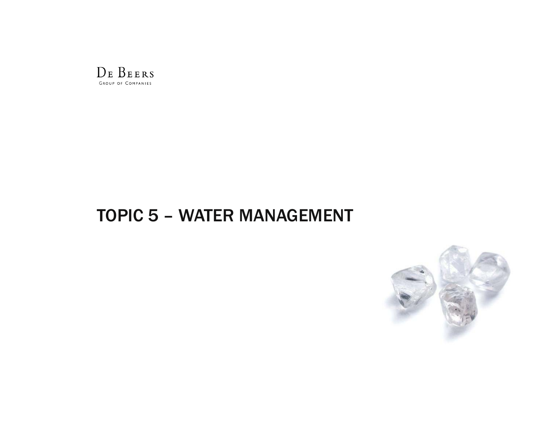

# TOPIC 5 – WATER MANAGEMENT

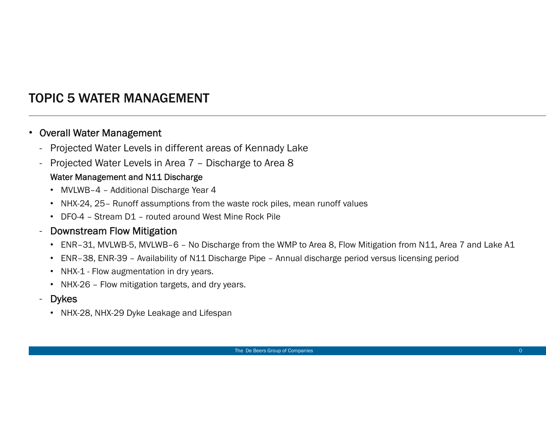## TOPIC 5 WATER MANAGEMENT

#### •Overall Water Management

- -Projected Water Levels in different areas of Kennady Lake
- Projected Water Levels in Area 7 Discharge to Area 8

#### Water Management and N11 Discharge

- MVLWB–4 Additional Discharge Year 4
- NHX-24, 25– Runoff assumptions from the waste rock piles, mean runoff values
- DFO-4 Stream D1 routed around West Mine Rock Pile

#### -Downstream Flow Mitigation

- ENR–31, MVLWB-5, MVLWB–6 No Discharge from the WMP to Area 8, Flow Mitigation from N11, Area 7 and Lake A1
- ENR–38, ENR-39 Availability of N11 Discharge Pipe Annual discharge period versus licensing period
- NHX-1 Flow augmentation in dry years.
- NHX-26 Flow mitigation targets, and dry years.
- Dykes
	- NHX-28, NHX-29 Dyke Leakage and Lifespan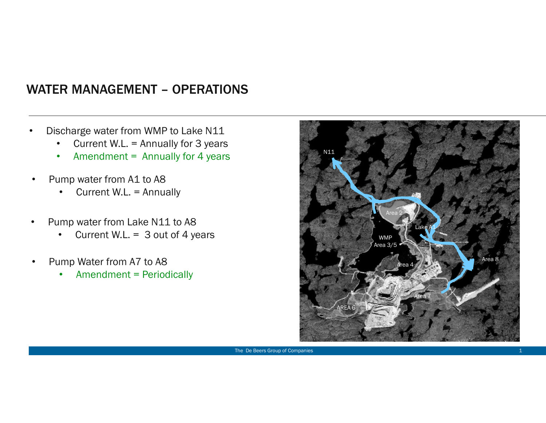#### WATER MANAGEMENT – OPERATIONS

- • Discharge water from WMP to Lake N11
	- •Current W.L. = Annually for 3 years
	- •Amendment = Annually for 4 years
- • Pump water from A1 to A8
	- •Current W.L. = Annually
- • Pump water from Lake N11 to A8
	- Current W.L. =  $3$  out of 4 years •
- • Pump Water from A7 to A8
	- •Amendment = Periodically

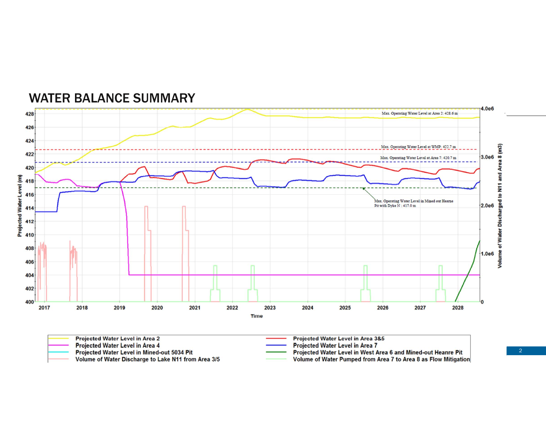

#### WATER BALANCE SUMMARY

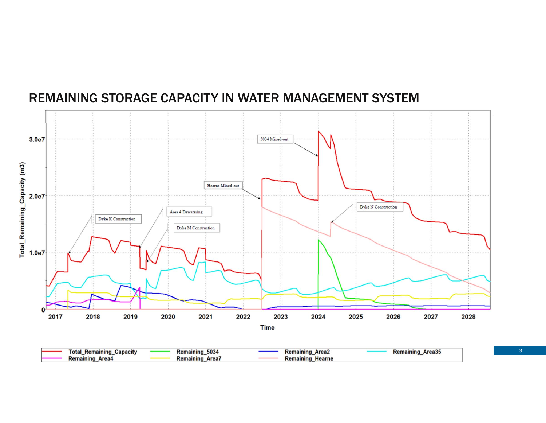

#### REMAINING STORAGE CAPACITY IN WATER MANAGEMENT SYSTEM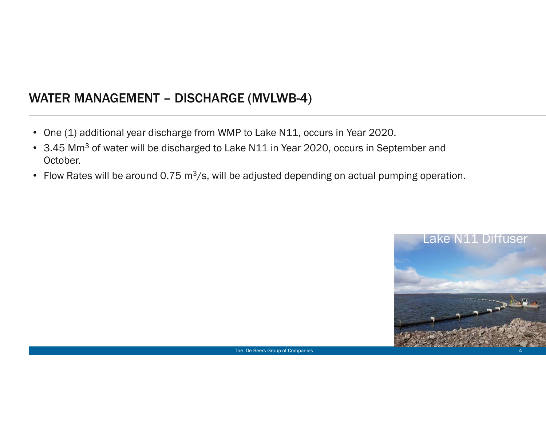## WATER MANAGEMENT – DISCHARGE (MVLWB-4)

- One (1) additional year discharge from WMP to Lake N11, occurs in Year 2020.
- 3.45 Mm<sup>3</sup> of water will be discharged to Lake N11 in Year 2020, occurs in September and October.
- Flow Rates will be around 0.75 m<sup>3</sup>/s, will be adjusted depending on actual pumping operation.

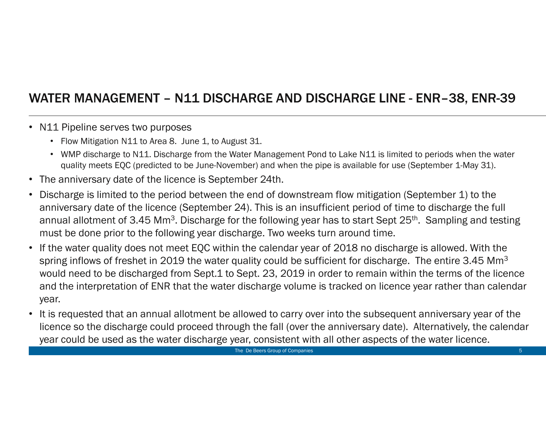## WATER MANAGEMENT – N11 DISCHARGE AND DISCHARGE LINE - ENR–38, ENR-39

#### • N11 Pipeline serves two purposes

- Flow Mitigation N11 to Area 8. June 1, to August 31.
- WMP discharge to N11. Discharge from the Water Management Pond to Lake N11 is limited to periods when the water quality meets EQC (predicted to be June-November) and when the pipe is available for use (September 1-May 31).
- •The anniversary date of the licence is September 24th.
- • Discharge is limited to the period between the end of downstream flow mitigation (September 1) to the anniversary date of the licence (September 24). This is an insufficient period of time to discharge the full annual allotment of 3.45 Mm<sup>3</sup>. Discharge for the following year has to start Sept 25<sup>th</sup>. Sampling and testing must be done prior to the following year discharge. Two weeks turn around time.
- $\bullet$  If the water quality does not meet EQC within the calendar year of 2018 no discharge is allowed. With the spring inflows of freshet in 2019 the water quality could be sufficient for discharge. The entire 3.45 Mm<sup>3</sup> would need to be discharged from Sept.1 to Sept. 23, 2019 in order to remain within the terms of the licence and the interpretation of ENR that the water discharge volume is tracked on licence year rather than calendar year.
- • It is requested that an annual allotment be allowed to carry over into the subsequent anniversary year of the licence so the discharge could proceed through the fall (over the anniversary date). Alternatively, the calendar year could be used as the water discharge year, consistent with all other aspects of the water licence.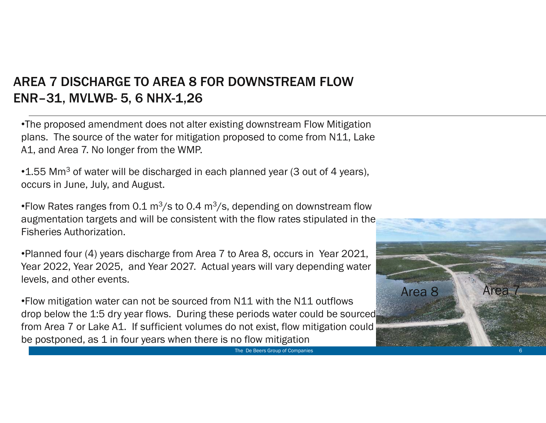## AREA 7 DISCHARGE TO AREA 8 FOR DOWNSTREAM FLOW ENR–31, MVLWB- 5, 6 NHX-1,26

•The proposed amendment does not alter existing downstream Flow Mitigation plans. The source of the water for mitigation proposed to come from N11, Lake A1, and Area 7. No longer from the WMP.

 $\cdot$ 1.55 Mm<sup>3</sup> of water will be discharged in each planned year (3 out of 4 years), occurs in June, July, and August.

•Flow Rates ranges from 0.1  $\rm m^3/s$  to 0.4  $\rm m^3/s$ , depending on downstream flow augmentation targets and will be consistent with the flow rates stipulated in the Fisheries Authorization.

•Planned four (4) years discharge from Area 7 to Area 8, occurs in Year 2021, Year 2022, Year 2025, and Year 2027. Actual years will vary depending water levels, and other events.

•Flow mitigation water can not be sourced from N11 with the N11 outflows drop below the 1:5 dry year flows. During these periods water could be sourced from Area 7 or Lake A1. If sufficient volumes do not exist, flow mitigation could be postponed, as 1 in four years when there is no flow mitigation



The De Beers Group of Companies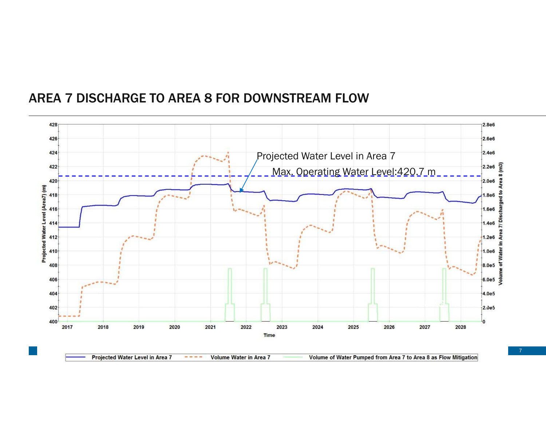#### AREA 7 DISCHARGE TO AREA 8 FOR DOWNSTREAM FLOW

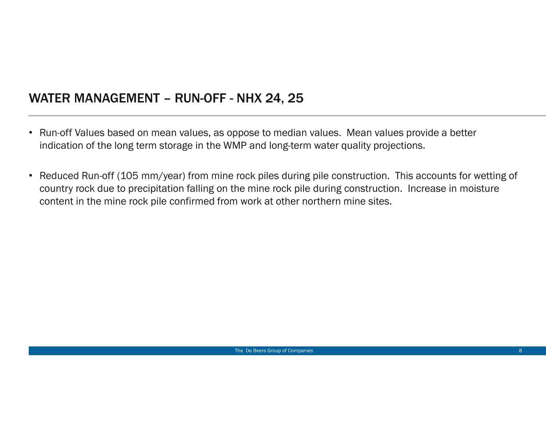#### WATER MANAGEMENT – RUN-OFF - NHX 24, 25

- Run-off Values based on mean values, as oppose to median values. Mean values provide a better indication of the long term storage in the WMP and long-term water quality projections.
- Reduced Run-off (105 mm/year) from mine rock piles during pile construction. This accounts for wetting of country rock due to precipitation falling on the mine rock pile during construction. Increase in moisture content in the mine rock pile confirmed from work at other northern mine sites.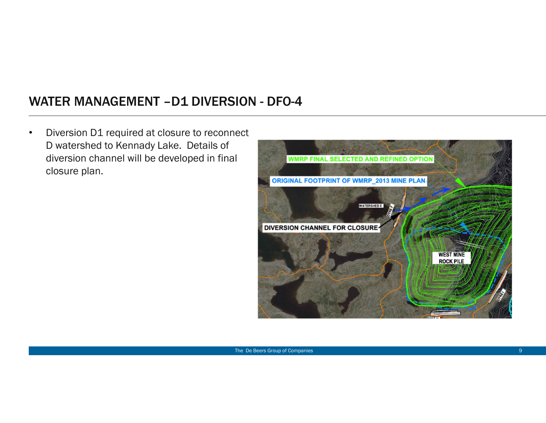### WATER MANAGEMENT –D1 DIVERSION - DFO-4

• Diversion D1 required at closure to reconnect D watershed to Kennady Lake. Details of diversion channel will be developed in final closure plan.